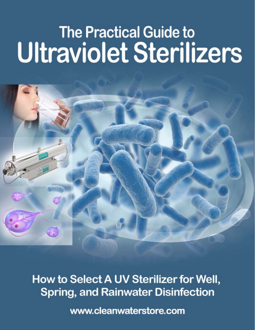# **The Practical Guide to Ultraviolet Sterilizers**



How to Select A UV Sterilizer for Well, **Spring, and Rainwater Disinfection** 

www.cleanwaterstore.com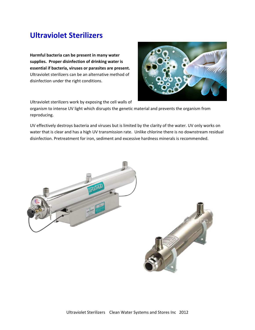# **Ultraviolet Sterilizers**

**Harmful bacteria can be present in many water supplies. Proper disinfection of drinking water is essential if bacteria, viruses or parasites are present.**  Ultraviolet sterilizers can be an alternative method of disinfection under the right conditions.



Ultraviolet sterilizers work by exposing the cell walls of

organism to intense UV light which disrupts the genetic material and prevents the organism from reproducing.

UV effectively destroys bacteria and viruses but is limited by the clarity of the water. UV only works on water that is clear and has a high UV transmission rate. Unlike chlorine there is no downstream residual disinfection. Pretreatment for iron, sediment and excessive hardness minerals is recommended.

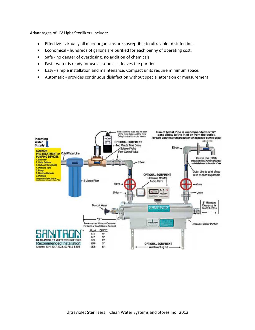Advantages of UV Light Sterilizers include:

- Effective virtually all microorganisms are susceptible to ultraviolet disinfection.
- Economical hundreds of gallons are purified for each penny of operating cost.
- Safe no danger of overdosing, no addition of chemicals.
- Fast water is ready for use as soon as it leaves the purifier
- Easy ‐ simple installation and maintenance. Compact units require minimum space.
- Automatic ‐ provides continuous disinfection without special attention or measurement.

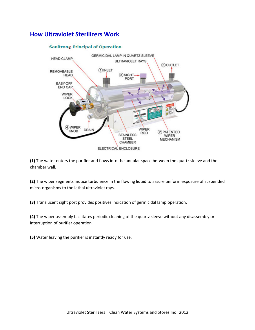### **How Ultraviolet Sterilizers Work**



#### **Sanitron® Principal of Operation**

**(1)** The water enters the purifier and flows into the annular space between the quartz sleeve and the chamber wall.

**(2)** The wiper segments induce turbulence in the flowing liquid to assure uniform exposure of suspended micro‐organisms to the lethal ultraviolet rays.

**(3)** Translucent sight port provides positives indication of germicidal lamp operation.

**(4)** The wiper assembly facilitates periodic cleaning of the quartz sleeve without any disassembly or interruption of purifier operation.

**(5)** Water leaving the purifier is instantly ready for use.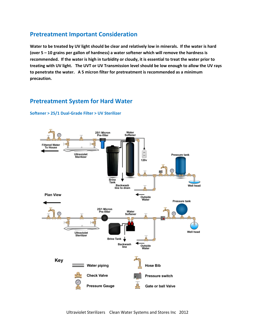#### **Pretreatment Important Consideration**

Water to be treated by UV light should be clear and relatively low in minerals. If the water is hard **(over 5 – 10 grains per gallon of hardness) a water softener which will remove the hardness is** recommended. If the water is high in turbidity or cloudy, it is essential to treat the water prior to treating with UV light. The UVT or UV Transmission level should be low enough to allow the UV rays **to penetrate the water. A 5 micron filter for pretreatment is recommended as a minimum precaution.**

#### **Pretreatment System for Hard Water**



**Softener > 25/1 Dual‐Grade Filter > UV Sterilizer**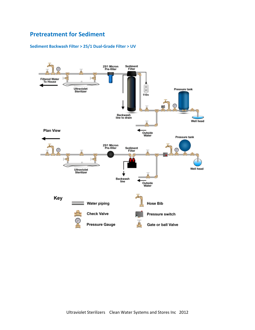## **Pretreatment for Sediment**

#### **Sediment Backwash Filter > 25/1 Dual‐Grade Filter > UV**

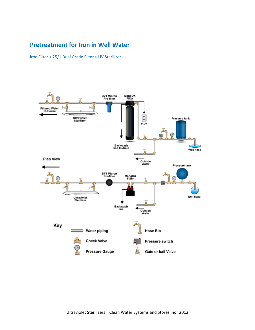## **Pretreatment for Iron in Well Water**

Iron Filter > 25/1 Dual Grade Filter > UV Sterilizer

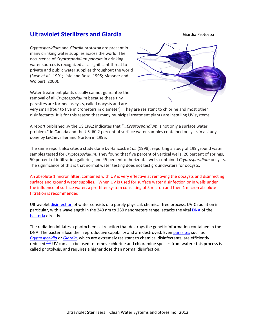#### **Ultraviolet Sterilizers and Giardia**

*Cryptosporidium* and *Giardia* protozoa are present in many drinking water supplies across the world. The occurrence of *Cryptosporidium parvum* in drinking water sources is recognized as a significant threat to private and public water supplies throughout the world (Rose *et al.*, 1991; Lisle and Rose, 1995; Messner and Wolpert, 2000).

Water treatment plants usually cannot guarantee the removal of all *Cryptosporidium* because these tiny parasites are formed as cysts, called oocysts and are



very small (four to five micrometers in diameter). They are resistant to chlorine and most other disinfectants. It is for this reason that many municipal treatment plants are installing UV systems.

A report published by the US EPA2 indicates that,"…*Cryptosporidium* is not only a surface water problem." In Canada and the US, 60.2 percent of surface water samples contained oocysts in a study done by LeChevallier and Norton in 1995.

The same report also cites a study done by Hancock *et al.* (1998), reporting a study of 199 ground water samples tested for *Cryptosporidium*. They found that five percent of vertical wells, 20 percent of springs, 50 percent of infiltration galleries, and 45 percent of horizontal wells contained *Cryptosporidium* oocysts. The significance of this is that normal water testing does not test groundwaters for oocysts.

An absolute 1 micron filter, combined with UV is very effective at removing the oocsysts and disinfecting surface and ground water supplies. When UV is used for surface water disinfection or in wells under the influence of surface water, a pre-filter system consisting of 5 micron and then 1 micron absolute filtration is recommended.

Ultraviolet disinfection of water consists of a purely physical, chemical‐free process. UV‐C radiation in particular, with a wavelength in the 240 nm to 280 nanometers range, attacks the vital DNA of the bacteria directly.

The radiation initiates a photochemical reaction that destroys the genetic information contained in the DNA. The bacteria lose their reproductive capability and are destroyed. Even parasites such as *Cryptosporidia* or *Giardia*, which are extremely resistant to chemical disinfectants, are efficiently reduced.<sup>[12]</sup> UV can also be used to remove chlorine and chloramine species from water; this process is called photolysis, and requires a higher dose than normal disinfection.

#### Giardia Protozoa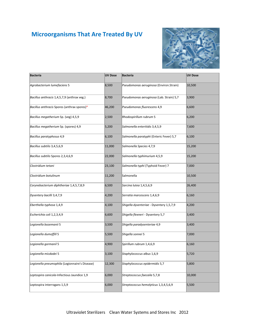## **Microorganisms That Are Treated By UV**



| <b>Bacteria</b>                                | <b>UV Dose</b> | <b>Bacteria</b>                          | <b>UV Dose</b> |
|------------------------------------------------|----------------|------------------------------------------|----------------|
| Agrobacterium lumefaciens 5                    | 8,500          | Pseudomonas aeruginosa (Environ.Strain)  | 10,500         |
| Bacillus anthracis 1,4,5,7,9 (anthrax veg.)    | 8,700          | Pseudomonas aeruginosa (Lab. Strain) 5,7 | 3,900          |
| Bacillus anthracis Spores (anthrax spores)*    | 46,200         | Pseudomonas fluorescens 4,9              | 6,600          |
| Bacillus megatherium Sp. (veg) 4,5,9           | 2,500          | Rhodospirillum rubrum 5                  | 6,200          |
| Bacillus megatherium Sp. (spores) 4,9          | 5,200          | Salmonella enteritidis 3,4,5,9           | 7,600          |
| Bacillus paratyphosus 4,9                      | 6,100          | Salmonella paratyphi (Enteric Fever) 5,7 | 6,100          |
| Bacillus subtilis 3,4,5,6,9                    | 11,000         | Salmonella Species 4,7,9                 | 15,200         |
| Bacillus subtilis Spores 2,3,4,6,9             | 22,000         | Salmonella typhimurium 4,5,9             | 15,200         |
| Clostridium tetani                             | 23,100         | Salmonella typhi (Typhoid Fever) 7       | 7,000          |
| Clostridium botulinum                          | 11,200         | Salmonella                               | 10,500         |
| Corynebacterium diphtheriae 1,4,5,7,8,9        | 6,500          | Sarcina lutea 1,4,5,6,9                  | 26,400         |
| Dysentery bacilli 3,4,7,9                      | 4,200          | Serratia marcescens 1,4,6,9              | 6,160          |
| Eberthella typhosa 1,4,9                       | 4,100          | Shigella dysenteriae - Dysentery 1,5,7,9 | 4,200          |
| Escherichia coli 1,2,3,4,9                     | 6,600          | Shigella flexneri - Dysentery 5,7        | 3,400          |
| Legionella bozemanii 5                         | 3,500          | Shigella paradysenteriae 4,9             | 3,400          |
| Legionella dumoffill 5                         | 5,500          | Shigella sonnei 5                        | 7,000          |
| Legionella gormanil 5                          | 4,900          | Spirillum rubrum 1,4,6,9                 | 6,160          |
| Legionella micdadei 5                          | 3,100          | Staphylococcus albus 1,6,9               | 5,720          |
| Legionella pneumophila (Legionnaire's Disease) | 12,300         | Staphylococcus epidermidis 5,7           | 5,800          |
| Leptospira canicola-Infectious Jaundice 1,9    | 6,000          | Streptococcus faecaila 5,7,8             | 10,000         |
| Leptospira interrogans 1,5,9                   | 6,000          | Streptococcus hemolyticus 1,3,4,5,6,9    | 5,500          |
|                                                |                |                                          |                |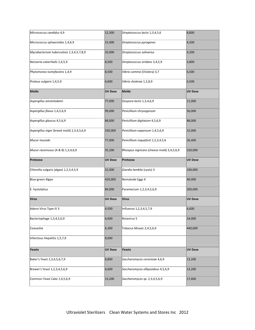| Micrococcus candidus 4,9                   | 12,300         | Streptococcus lactis 1,3,4,5,6             | 8,800          |
|--------------------------------------------|----------------|--------------------------------------------|----------------|
| Micrococcus sphaeroides 1,4,6,9            | 15,400         | Streptococcus pyrogenes                    | 4,200          |
| Mycobacterium tuberculosis 1,3,4,5,7,8,9   | 10,000         | Streptococcus salivarius                   | 4,200          |
| Neisseria catarrhalis 1,4,5,9              | 8,500          | Streptococcus viridans 3,4,5,9             | 3,800          |
| Phytomonas tumefaciens 1,4,9               | 8,500          | Vibrio comma (Cholera) 3,7                 | 6,500          |
| Proteus vulgaris 1,4,5,9                   | 6,600          | Vibrio cholerae 1,5,8,9                    | 6,500          |
| <b>Molds</b>                               | <b>UV Dose</b> | <b>Molds</b>                               | <b>UV Dose</b> |
| Aspergillus amstelodami                    | 77,000         | Oospora lactis 1,3,4,6,9                   | 11,000         |
| Aspergillus flavus 1,4,5,6,9               | 99,000         | Penicillium chrysogenum                    | 56,000         |
| Aspergillus glaucus 4,5,6,9                | 88,000         | Penicillium digitatum 4,5,6,9              | 88,000         |
| Aspergillus niger (breed mold) 2,3,4,5,6,9 | 330,000        | Penicillium expansum 1,4,5,6,9             | 22,000         |
| Mucor mucedo                               | 77,000         | Penicillium roqueforti 1,2,3,4,5,6         | 26,400         |
| Mucor racemosus (A & B) 1,3,4,6,9          | 35,200         | Rhizopus nigricans (cheese mold) 3,4,5,6,9 | 220,000        |
| Protozoa                                   | <b>UV Dose</b> | Protozoa                                   | <b>UV Dose</b> |
| Chlorella vulgaris (algae) 1,2,3,4,5,9     | 22,000         | Giardia lamblia (cysts) 3                  | 100,000        |
| Blue-green Algae                           | 420,000        | Nematode Eggs 6                            | 40,000         |
| E. hystolytica                             | 84,000         | Paramecium 1,2,3,4,5,6,9                   | 200,000        |
| <b>Virus</b>                               | <b>UV Dose</b> | Virus                                      | <b>UV Dose</b> |
| Adeno Virus Type III 3                     | 4,500          | Influenza 1,2,3,4,5,7,9                    | 6,600          |
| Bacteriophage 1,3,4,5,6,9                  | 6,600          | Rotavirus 5                                | 24,000         |
| Coxsackie                                  | 6,300          | Tobacco Mosaic 2,4,5,6,9                   | 440,000        |
| Infectious Hepatitis 1,5,7,9               | 8,000          |                                            |                |
| Yeasts                                     | <b>UV Dose</b> | Yeasts                                     | <b>UV Dose</b> |
| Baker's Yeast 1,3,4,5,6,7,9                | 8,800          | Saccharomyces cerevisiae 4,6,9             | 13,200         |
| Brewer's Yeast 1,2,3,4,5,6,9               | 6,600          | Saccharomyces ellipsoideus 4,5,6,9         | 13,200         |
| Common Yeast Cake 1,4,5,6,9                | 13,200         | Saccharomyces sp. 2,3,4,5,6,9              | 17,600         |